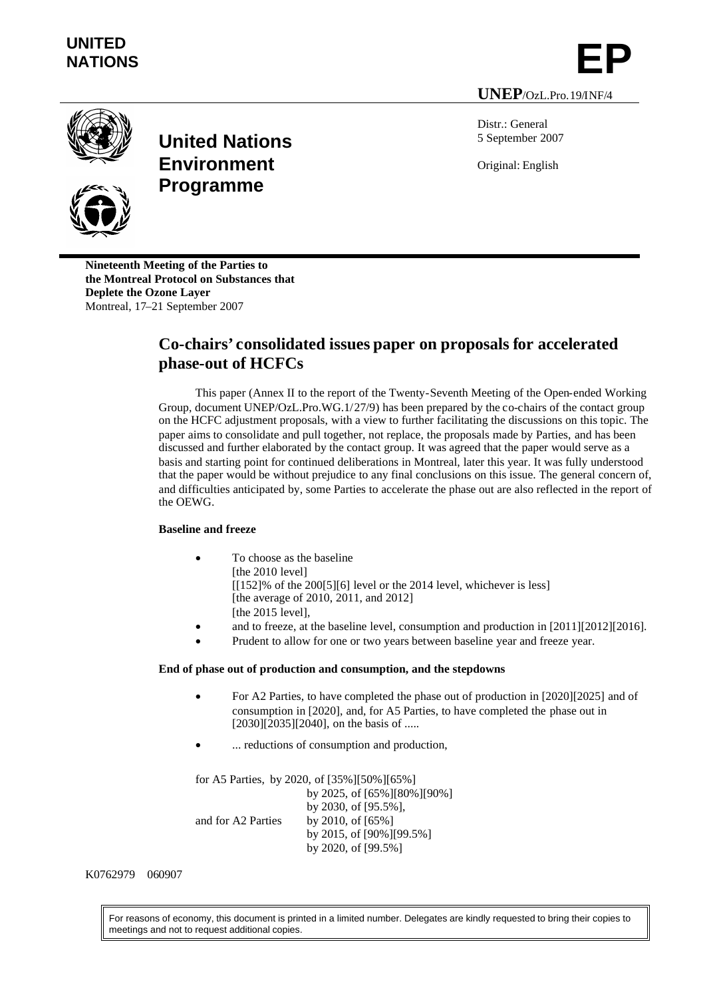# **UNITED** UNITED<br>NATIONS **EP**

**UNEP**/OzL.Pro.19/INF/4





**United Nations Environment Programme**

Distr.: General 5 September 2007

Original: English

**Nineteenth Meeting of the Parties to the Montreal Protocol on Substances that Deplete the Ozone Layer** Montreal, 17–21 September 2007

# **Co-chairs' consolidated issues paper on proposals for accelerated phase-out of HCFCs**

This paper (Annex II to the report of the Twenty-Seventh Meeting of the Open-ended Working Group, document UNEP/OzL.Pro.WG.1/27/9) has been prepared by the co-chairs of the contact group on the HCFC adjustment proposals, with a view to further facilitating the discussions on this topic. The paper aims to consolidate and pull together, not replace, the proposals made by Parties, and has been discussed and further elaborated by the contact group. It was agreed that the paper would serve as a basis and starting point for continued deliberations in Montreal, later this year. It was fully understood that the paper would be without prejudice to any final conclusions on this issue. The general concern of, and difficulties anticipated by, some Parties to accelerate the phase out are also reflected in the report of the OEWG.

# **Baseline and freeze**

- To choose as the baseline [the 2010 level]  $[152]\%$  of the 200[5][6] level or the 2014 level, whichever is less] [the average of 2010, 2011, and 2012] [the 2015 level],
- and to freeze, at the baseline level, consumption and production in [2011][2012][2016].
- Prudent to allow for one or two years between baseline year and freeze year.

# **End of phase out of production and consumption, and the stepdowns**

- For A2 Parties, to have completed the phase out of production in [2020][2025] and of consumption in [2020], and, for A5 Parties, to have completed the phase out in  $[2030][2035][2040]$ , on the basis of .....
- ... reductions of consumption and production,

for A5 Parties, by 2020, of [35%][50%][65%] by 2025, of [65%][80%][90%] by 2030, of [95.5%], and for A2 Parties by 2010, of [65%] by 2015, of [90%][99.5%] by 2020, of [99.5%]

#### K0762979 060907

For reasons of economy, this document is printed in a limited number. Delegates are kindly requested to bring their copies to meetings and not to request additional copies.